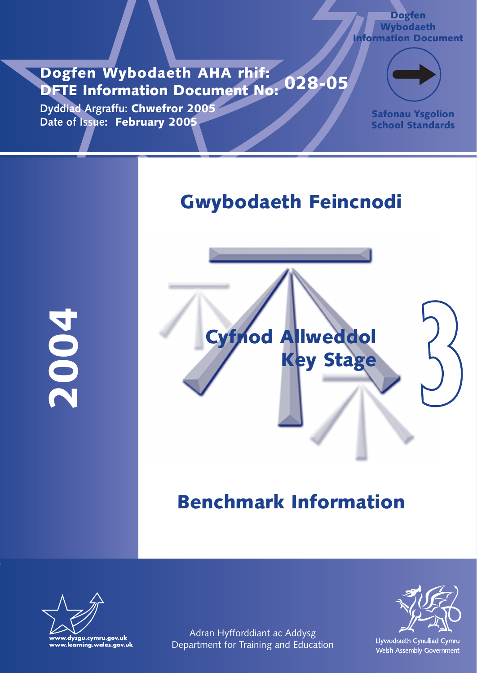**Dogfen Wybodaeth AHA rhif: DFTE Information Document No: 028-05**

**Dyddiad Argraffu: Chwefror 2005 Date of Issue: February 2005**



**Dogfen Wybodaeth Information Document**

> **Safonau Ysgolion School Standards**

# **Gwybodaeth Feincnodi**

**2004**



# **Benchmark Information**



Adran Hyfforddiant ac Addysg Department for Training and Education

Llywodraeth Cynulliad Cymru Welsh Assembly Government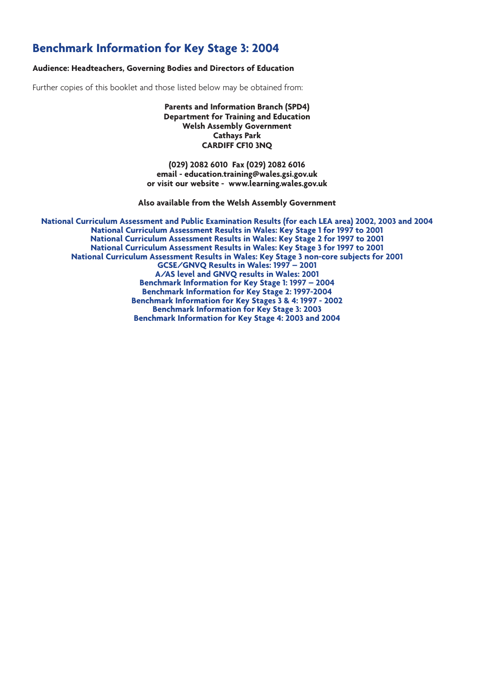### **Benchmark Information for Key Stage 3: 2004**

#### **Audience: Headteachers, Governing Bodies and Directors of Education**

Further copies of this booklet and those listed below may be obtained from:

**Parents and Information Branch (SPD4) Department for Training and Education Welsh Assembly Government Cathays Park CARDIFF CF10 3NQ**

**(029) 2082 6010 Fax (029) 2082 6016 email - education.training@wales.gsi.gov.uk or visit our website - www.learning.wales.gov.uk**

**Also available from the Welsh Assembly Government**

**National Curriculum Assessment and Public Examination Results (for each LEA area) 2002, 2003 and 2004 National Curriculum Assessment Results in Wales: Key Stage 1 for 1997 to 2001 National Curriculum Assessment Results in Wales: Key Stage 2 for 1997 to 2001 National Curriculum Assessment Results in Wales: Key Stage 3 for 1997 to 2001 National Curriculum Assessment Results in Wales: Key Stage 3 non-core subjects for 2001 GCSE/GNVQ Results in Wales: 1997 – 2001 A/AS level and GNVQ results in Wales: 2001 Benchmark Information for Key Stage 1: 1997 – 2004 Benchmark Information for Key Stage 2: 1997-2004 Benchmark Information for Key Stages 3 & 4: 1997 - 2002 Benchmark Information for Key Stage 3: 2003 Benchmark Information for Key Stage 4: 2003 and 2004**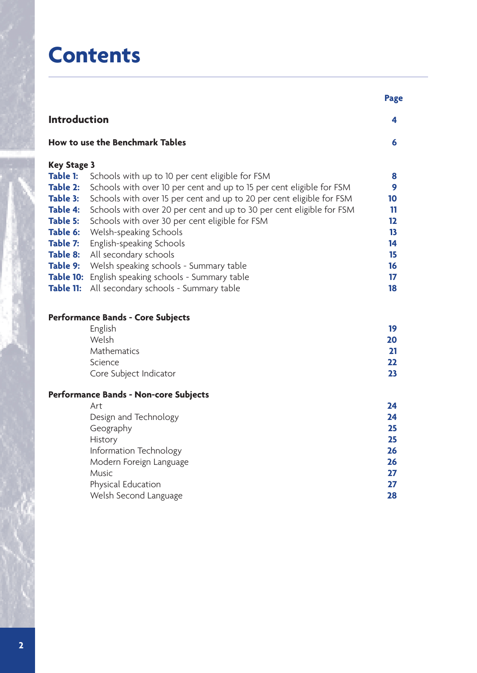# **Contents**

|                      |                                                                      | <b>Page</b>      |
|----------------------|----------------------------------------------------------------------|------------------|
| <b>Introduction</b>  |                                                                      | 4                |
|                      | How to use the Benchmark Tables                                      | 6                |
| <b>Key Stage 3</b>   |                                                                      |                  |
| Table 1:             | Schools with up to 10 per cent eligible for FSM                      | 8                |
| Table 2:             | Schools with over 10 per cent and up to 15 per cent eligible for FSM | 9                |
| Table 3:             | Schools with over 15 per cent and up to 20 per cent eligible for FSM | 10               |
| <b>Table 4:</b>      | Schools with over 20 per cent and up to 30 per cent eligible for FSM | 11               |
| Table 5:<br>Table 6: | Schools with over 30 per cent eligible for FSM                       | 12<br>13         |
| Table 7:             | Welsh-speaking Schools<br>English-speaking Schools                   | 14               |
| Table 8:             | All secondary schools                                                | 15               |
| Table 9:             | Welsh speaking schools - Summary table                               | 16               |
|                      | Table 10: English speaking schools - Summary table                   | $17\phantom{.0}$ |
| Table 11:            | All secondary schools - Summary table                                | 18               |
|                      | <b>Performance Bands - Core Subjects</b>                             |                  |
|                      | English                                                              | 19               |
|                      | Welsh                                                                | 20               |
|                      | Mathematics                                                          | 21               |
|                      | Science                                                              | 22               |
|                      | Core Subject Indicator                                               | 23               |
|                      | <b>Performance Bands - Non-core Subjects</b>                         |                  |
|                      | Art                                                                  | 24               |
|                      | Design and Technology                                                | 24               |
|                      | Geography<br>History                                                 | 25<br>25         |
|                      | Information Technology                                               | 26               |
|                      | Modern Foreign Language                                              | 26               |
|                      | Music                                                                | 27               |
|                      | Physical Education                                                   | 27               |
|                      | Welsh Second Language                                                | 28               |
|                      |                                                                      |                  |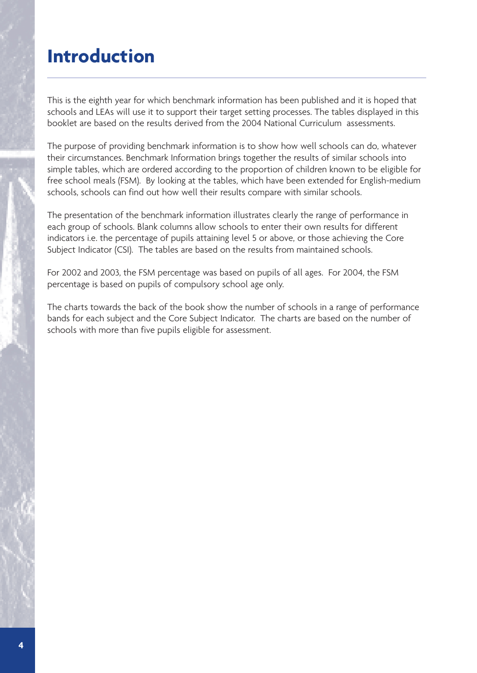## **Introduction**

This is the eighth year for which benchmark information has been published and it is hoped that schools and LEAs will use it to support their target setting processes. The tables displayed in this booklet are based on the results derived from the 2004 National Curriculum assessments.

The purpose of providing benchmark information is to show how well schools can do, whatever their circumstances. Benchmark Information brings together the results of similar schools into simple tables, which are ordered according to the proportion of children known to be eligible for free school meals (FSM). By looking at the tables, which have been extended for English-medium schools, schools can find out how well their results compare with similar schools.

The presentation of the benchmark information illustrates clearly the range of performance in each group of schools. Blank columns allow schools to enter their own results for different indicators i.e. the percentage of pupils attaining level 5 or above, or those achieving the Core Subject Indicator (CSI). The tables are based on the results from maintained schools.

For 2002 and 2003, the FSM percentage was based on pupils of all ages. For 2004, the FSM percentage is based on pupils of compulsory school age only.

The charts towards the back of the book show the number of schools in a range of performance bands for each subject and the Core Subject Indicator. The charts are based on the number of schools with more than five pupils eligible for assessment.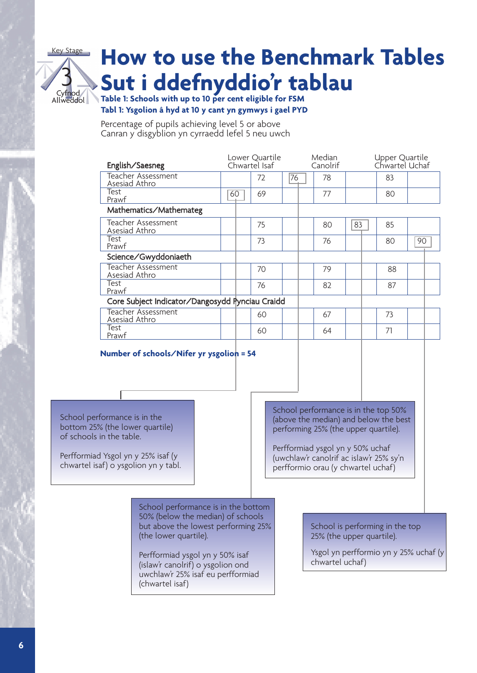

# **How to use the Benchmark Tables Sut i ddefnyddio'r tablau**

**Table 1: Schools with up to 10 per cent eligible for FSM Tabl 1: Ysgolion â hyd at 10 y cant yn gymwys i gael PYD**

Percentage of pupils achieving level 5 or above Canran y disgyblion yn cyrraedd lefel 5 neu uwch

| English/Saesneg                                 | Lower Quartile<br>Chwartel Isaf |  | Median<br>Canolrif |    | Upper Quartile<br>Chwartel Uchaf |    |    |  |    |    |  |
|-------------------------------------------------|---------------------------------|--|--------------------|----|----------------------------------|----|----|--|----|----|--|
| <b>Teacher Assessment</b><br>Asesiad Athro      |                                 |  | 72                 | 76 |                                  | 78 |    |  | 83 |    |  |
| Test<br>Prawf                                   | 60                              |  | 69                 |    |                                  | 77 |    |  | 80 |    |  |
| Mathematics/Mathemateg                          |                                 |  |                    |    |                                  |    |    |  |    |    |  |
| Teacher Assessment<br>Asesiad Athro             |                                 |  | 75                 |    |                                  | 80 | 83 |  | 85 |    |  |
| Test<br>Prawf                                   |                                 |  | 73                 |    |                                  | 76 |    |  | 80 | 90 |  |
| Science/Gwyddoniaeth                            |                                 |  |                    |    |                                  |    |    |  |    |    |  |
| Teacher Assessment<br>Asesiad Athro             |                                 |  | 70                 |    |                                  | 79 |    |  | 88 |    |  |
| Test<br>Prawf                                   |                                 |  | 76                 |    |                                  | 82 |    |  | 87 |    |  |
| Core Subject Indicator/Dangosydd Pynciau Craidd |                                 |  |                    |    |                                  |    |    |  |    |    |  |
| <b>Teacher Assessment</b><br>Asesiad Athro      |                                 |  | 60                 |    |                                  | 67 |    |  | 73 |    |  |
| Test<br>Prawf                                   |                                 |  | 60                 |    |                                  | 64 |    |  | 71 |    |  |
| Number of schools/Nifer yr ysgolion = 54        |                                 |  |                    |    |                                  |    |    |  |    |    |  |

School performance is in the bottom 25% (the lower quartile) of schools in the table.

Perfformiad Ysgol yn y 25% isaf (y chwartel isaf) o ysgolion yn y tabl. School performance is in the top 50% (above the median) and below the best performing 25% (the upper quartile).

Perfformiad ysgol yn y 50% uchaf (uwchlaw'r canolrif ac islaw'r 25% sy'n perfformio orau (y chwartel uchaf)

School performance is in the bottom 50% (below the median) of schools but above the lowest performing 25% (the lower quartile).

Perfformiad ysgol yn y 50% isaf (islaw'r canolrif) o ysgolion ond uwchlaw'r 25% isaf eu perfformiad (chwartel isaf)

School is performing in the top 25% (the upper quartile).

Ysgol yn perfformio yn y 25% uchaf (y chwartel uchaf)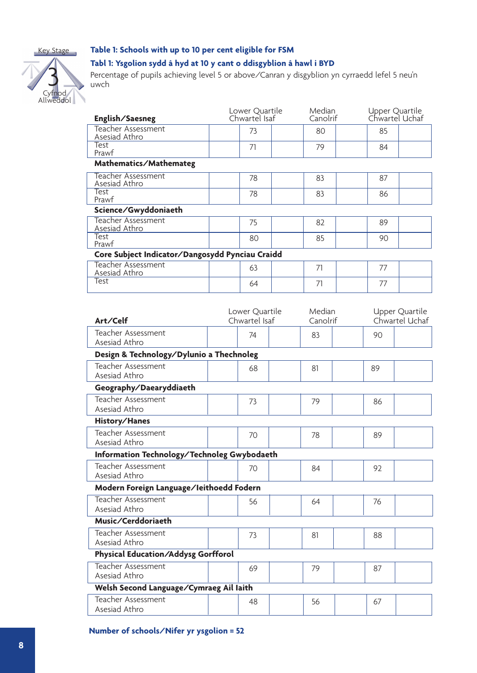

Cyfnod Allweddol

3

#### **Table 1: Schools with up to 10 per cent eligible for FSM**

#### **Tabl 1: Ysgolion sydd â hyd at 10 y cant o ddisgyblion â hawl i BYD**

Percentage of pupils achieving level 5 or above/Canran y disgyblion yn cyrraedd lefel 5 neu'n uwch

| English/Saesneg                                 | Lower Quartile<br>Chwartel Isaf |    | Median<br>Canolrif |    | Upper Quartile<br>Chwartel Uchaf |    |  |  |  |
|-------------------------------------------------|---------------------------------|----|--------------------|----|----------------------------------|----|--|--|--|
| Teacher Assessment<br>Asesiad Athro             |                                 | 73 |                    | 80 |                                  | 85 |  |  |  |
| Test<br>Prawf                                   |                                 | 71 |                    | 79 |                                  | 84 |  |  |  |
| Mathematics/Mathemateg                          |                                 |    |                    |    |                                  |    |  |  |  |
| <b>Teacher Assessment</b><br>Asesiad Athro      |                                 | 78 |                    | 83 |                                  | 87 |  |  |  |
| Test<br>Prawf                                   |                                 | 78 |                    | 83 |                                  | 86 |  |  |  |
| Science/Gwyddoniaeth                            |                                 |    |                    |    |                                  |    |  |  |  |
| Teacher Assessment<br>Asesiad Athro             |                                 | 75 |                    | 82 |                                  | 89 |  |  |  |
| Test<br>Prawf                                   |                                 | 80 |                    | 85 |                                  | 90 |  |  |  |
| Core Subject Indicator/Dangosydd Pynciau Craidd |                                 |    |                    |    |                                  |    |  |  |  |
| <b>Teacher Assessment</b><br>Asesiad Athro      |                                 | 63 |                    | 71 |                                  | 77 |  |  |  |
| Test                                            |                                 | 64 |                    | 71 |                                  | 77 |  |  |  |

|                                             | Lower Quartile | Median   | Upper Quartile |
|---------------------------------------------|----------------|----------|----------------|
| Art/Celf                                    | Chwartel Isaf  | Canolrif | Chwartel Uchaf |
| Teacher Assessment                          | 74             | 83       | 90             |
| Asesiad Athro                               |                |          |                |
| Design & Technology/Dylunio a Thechnoleg    |                |          |                |
| <b>Teacher Assessment</b>                   | 68             | 81       | 89             |
| Asesiad Athro                               |                |          |                |
| Geography/Daearyddiaeth                     |                |          |                |
| <b>Teacher Assessment</b>                   | 73             | 79       | 86             |
| Asesiad Athro                               |                |          |                |
| History/Hanes                               |                |          |                |
| Teacher Assessment                          | 70             | 78       | 89             |
| Asesiad Athro                               |                |          |                |
| Information Technology/Technoleg Gwybodaeth |                |          |                |
| Teacher Assessment                          | 70             | 84       | 92             |
| Asesiad Athro                               |                |          |                |
| Modern Foreign Language/leithoedd Fodern    |                |          |                |
| <b>Teacher Assessment</b>                   | 56             | 64       | 76             |
| Asesiad Athro                               |                |          |                |
| Music/Cerddoriaeth                          |                |          |                |
| Teacher Assessment                          | 73             | 81       | 88             |
| Asesiad Athro                               |                |          |                |
| Physical Education/Addysg Gorfforol         |                |          |                |
| <b>Teacher Assessment</b>                   | 69             | 79       | 87             |
| Asesiad Athro                               |                |          |                |
| Welsh Second Language/Cymraeg Ail laith     |                |          |                |
| Teacher Assessment                          | 48             | 56       | 67             |
| Asesiad Athro                               |                |          |                |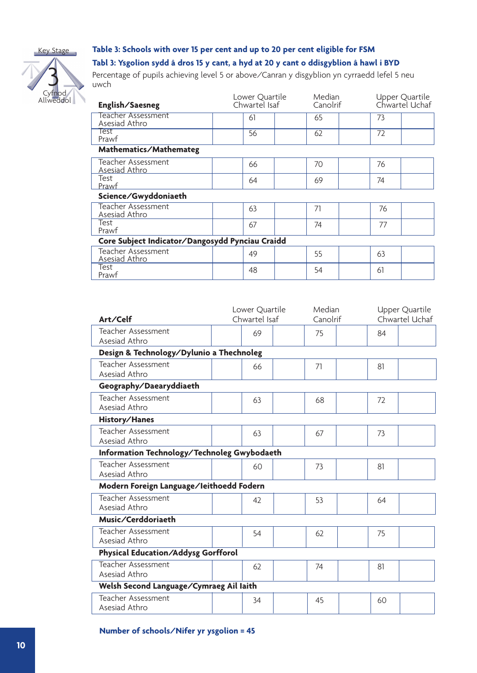



#### **Table 3: Schools with over 15 per cent and up to 20 per cent eligible for FSM**

#### **Tabl 3: Ysgolion sydd â dros 15 y cant, a hyd at 20 y cant o ddisgyblion â hawl i BYD**

Percentage of pupils achieving level 5 or above/Canran y disgyblion yn cyrraedd lefel 5 neu uwch

| English/Saesneg                                 | Lower Quartile<br>Chwartel Isaf |  | Median<br>Canolrif |    | Upper Quartile<br>Chwartel Uchaf |
|-------------------------------------------------|---------------------------------|--|--------------------|----|----------------------------------|
| Teacher Assessment<br>Asesiad Athro             | 61                              |  | 65                 | 73 |                                  |
| lest<br>Prawf                                   | 56                              |  | 62                 | 72 |                                  |
| Mathematics/Mathemateg                          |                                 |  |                    |    |                                  |
| Teacher Assessment<br>Asesiad Athro             | 66                              |  | 70                 | 76 |                                  |
| Test<br>Prawf                                   | 64                              |  | 69                 | 74 |                                  |
| Science/Gwyddoniaeth                            |                                 |  |                    |    |                                  |
| Teacher Assessment<br>Asesiad Athro             | 63                              |  | 71                 | 76 |                                  |
| Test<br>Prawf                                   | 67                              |  | 74                 | 77 |                                  |
| Core Subject Indicator/Dangosydd Pynciau Craidd |                                 |  |                    |    |                                  |
| Teacher Assessment<br>Asesiad Athro             | 49                              |  | 55                 | 63 |                                  |
| Test<br>Prawf                                   | 48                              |  | 54                 | 61 |                                  |

|                                             | Lower Quartile | Median   |    | Upper Quartile |
|---------------------------------------------|----------------|----------|----|----------------|
| Art/Celf                                    | Chwartel Isaf  | Canolrif |    | Chwartel Uchaf |
| Teacher Assessment<br>Asesiad Athro         | 69             | 75       | 84 |                |
| Design & Technology/Dylunio a Thechnoleg    |                |          |    |                |
| <b>Teacher Assessment</b><br>Asesiad Athro  | 66             | 71       | 81 |                |
| Geography/Daearyddiaeth                     |                |          |    |                |
| <b>Teacher Assessment</b><br>Asesiad Athro  | 63             | 68       | 72 |                |
| History/Hanes                               |                |          |    |                |
| Teacher Assessment<br>Asesiad Athro         | 63             | 67       | 73 |                |
| Information Technology/Technoleg Gwybodaeth |                |          |    |                |
| Teacher Assessment<br>Asesiad Athro         | 60             | 73       | 81 |                |
| Modern Foreign Language/Ieithoedd Fodern    |                |          |    |                |
| Teacher Assessment<br>Asesiad Athro         | 42             | 53       | 64 |                |
| Music/Cerddoriaeth                          |                |          |    |                |
| Teacher Assessment<br>Asesiad Athro         | 54             | 62       | 75 |                |
| Physical Education/Addysg Gorfforol         |                |          |    |                |
| <b>Teacher Assessment</b><br>Asesiad Athro  | 62             | 74       | 81 |                |
| Welsh Second Language/Cymraeg Ail laith     |                |          |    |                |
| Teacher Assessment<br>Asesiad Athro         | 34             | 45       | 60 |                |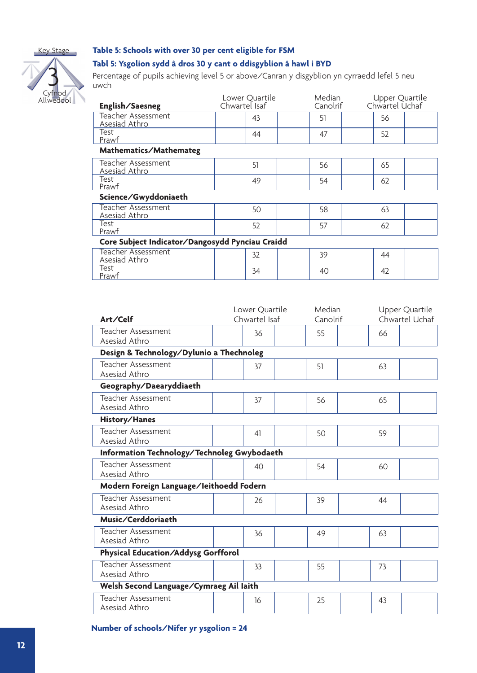

## Cyfnod Allweddol 3

#### **Table 5: Schools with over 30 per cent eligible for FSM**

#### **Tabl 5: Ysgolion sydd â dros 30 y cant o ddisgyblion â hawl i BYD**

Percentage of pupils achieving level 5 or above/Canran y disgyblion yn cyrraedd lefel 5 neu uwch

| English/Saesneg                                 | Lower Quartile<br>Chwartel Isaf | Median<br>Canolrif | Upper Quartile<br>Chwartel Uchaf |  |
|-------------------------------------------------|---------------------------------|--------------------|----------------------------------|--|
| Teacher Assessment<br>Asesiad Athro             | 43                              | 51                 | 56                               |  |
| Test<br>Prawf                                   | 44                              | 47                 | 52                               |  |
| Mathematics/Mathemateg                          |                                 |                    |                                  |  |
| Teacher Assessment<br><b>Asesiad Athro</b>      | 51                              | 56                 | 65                               |  |
| Test<br>Prawf                                   | 49                              | 54                 | 62                               |  |
| Science/Gwyddoniaeth                            |                                 |                    |                                  |  |
| Teacher Assessment<br>Asesiad Athro             | 50                              | 58                 | 63                               |  |
| Test<br>Prawf                                   | 52                              | 57                 | 62                               |  |
| Core Subject Indicator/Dangosydd Pynciau Craidd |                                 |                    |                                  |  |
| <b>Teacher Assessment</b><br>Asesiad Athro      | 32                              | 39                 | 44                               |  |
| Test<br>Prawf                                   | 34                              | 40                 | 42                               |  |

| Art/Celf                                    | Lower Quartile<br>Chwartel Isaf | Median<br>Canolrif |    | Upper Quartile<br>Chwartel Uchaf |
|---------------------------------------------|---------------------------------|--------------------|----|----------------------------------|
| Teacher Assessment<br>Asesiad Athro         | 36                              | 55                 | 66 |                                  |
| Design & Technology/Dylunio a Thechnoleg    |                                 |                    |    |                                  |
| Teacher Assessment<br>Asesiad Athro         | 37                              | 51                 | 63 |                                  |
| Geography/Daearyddiaeth                     |                                 |                    |    |                                  |
| <b>Teacher Assessment</b><br>Asesiad Athro  | 37                              | 56                 | 65 |                                  |
| History/Hanes                               |                                 |                    |    |                                  |
| <b>Teacher Assessment</b><br>Asesiad Athro  | 41                              | 50                 | 59 |                                  |
| Information Technology/Technoleg Gwybodaeth |                                 |                    |    |                                  |
| Teacher Assessment<br>Asesiad Athro         | 40                              | 54                 | 60 |                                  |
| Modern Foreign Language/leithoedd Fodern    |                                 |                    |    |                                  |
| Teacher Assessment<br>Asesiad Athro         | 26                              | 39                 | 44 |                                  |
| Music/Cerddoriaeth                          |                                 |                    |    |                                  |
| Teacher Assessment<br>Asesiad Athro         | 36                              | 49                 | 63 |                                  |
| Physical Education/Addysg Gorfforol         |                                 |                    |    |                                  |
| Teacher Assessment<br>Asesiad Athro         | 33                              | 55                 | 73 |                                  |
| Welsh Second Language/Cymraeg Ail laith     |                                 |                    |    |                                  |
| <b>Teacher Assessment</b><br>Asesiad Athro  | 16                              | 25                 | 43 |                                  |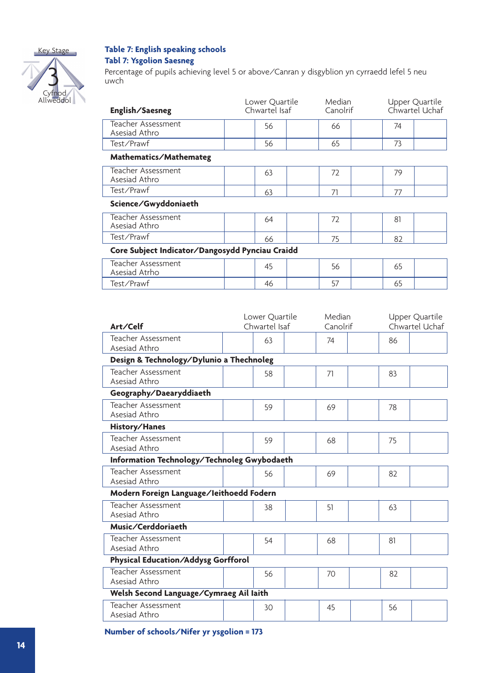



#### **Table 7: English speaking schools Tabl 7: Ysgolion Saesneg**

Percentage of pupils achieving level 5 or above/Canran y disgyblion yn cyrraedd lefel 5 neu uwch

| English/Saesneg                                 | Lower Quartile<br>Chwartel Isaf | <b>Median</b><br>Canolrif | Upper Quartile<br>Chwartel Uchaf |  |  |  |  |  |  |
|-------------------------------------------------|---------------------------------|---------------------------|----------------------------------|--|--|--|--|--|--|
| Teacher Assessment<br>Asesiad Athro             | 56                              | 66                        | 74                               |  |  |  |  |  |  |
| Test/Prawf                                      | 56                              | 65                        | 73                               |  |  |  |  |  |  |
| Mathematics/Mathemateg                          |                                 |                           |                                  |  |  |  |  |  |  |
| Teacher Assessment<br>Asesiad Athro             | 63                              | 72                        | 79                               |  |  |  |  |  |  |
| Test/Prawf                                      | 63                              | 71                        | 77                               |  |  |  |  |  |  |
| Science/Gwyddoniaeth                            |                                 |                           |                                  |  |  |  |  |  |  |
| Teacher Assessment<br>Asesiad Athro             | 64                              | 72                        | 81                               |  |  |  |  |  |  |
| Test/Prawf                                      | 66                              | 75                        | 82                               |  |  |  |  |  |  |
| Core Subject Indicator/Dangosydd Pynciau Craidd |                                 |                           |                                  |  |  |  |  |  |  |
| Teacher Assessment<br>Asesiad Atrho             | 45                              | 56                        | 65                               |  |  |  |  |  |  |
| Test/Prawf                                      | 46                              | 57                        | 65                               |  |  |  |  |  |  |

|                                             | Lower Quartile | Median   |    | Upper Quartile |
|---------------------------------------------|----------------|----------|----|----------------|
| Art/Celf                                    | Chwartel Isaf  | Canolrif |    | Chwartel Uchaf |
| Teacher Assessment<br>Asesiad Athro         | 63             | 74       | 86 |                |
| Design & Technology/Dylunio a Thechnoleg    |                |          |    |                |
| Teacher Assessment<br>Asesiad Athro         | 58             | 71       | 83 |                |
| Geography/Daearyddiaeth                     |                |          |    |                |
| <b>Teacher Assessment</b><br>Asesiad Athro  | 59             | 69       | 78 |                |
| History/Hanes                               |                |          |    |                |
| <b>Teacher Assessment</b><br>Asesiad Athro  | 59             | 68       | 75 |                |
| Information Technology/Technoleg Gwybodaeth |                |          |    |                |
| <b>Teacher Assessment</b><br>Asesiad Athro  | 56             | 69       | 82 |                |
| Modern Foreign Language/Ieithoedd Fodern    |                |          |    |                |
| Teacher Assessment<br>Asesiad Athro         | 38             | 51       | 63 |                |
| Music/Cerddoriaeth                          |                |          |    |                |
| Teacher Assessment<br>Asesiad Athro         | 54             | 68       | 81 |                |
| Physical Education/Addysg Gorfforol         |                |          |    |                |
| <b>Teacher Assessment</b><br>Asesiad Athro  | 56             | 70       | 82 |                |
| Welsh Second Language/Cymraeg Ail laith     |                |          |    |                |
| <b>Teacher Assessment</b><br>Asesiad Athro  | 30             | 45       | 56 |                |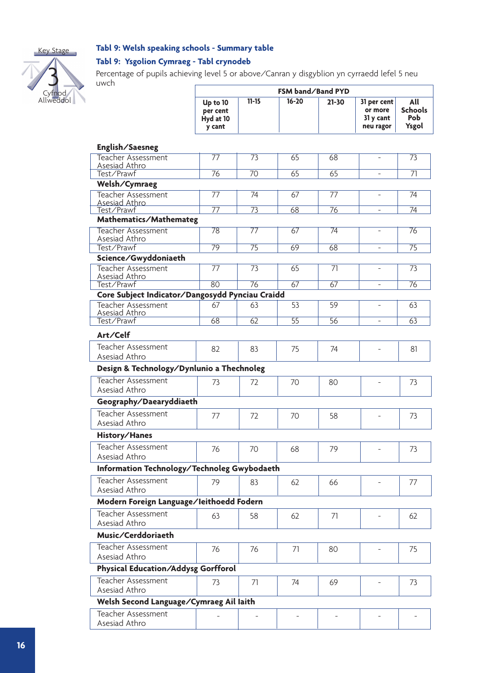

#### **Tabl 9: Welsh speaking schools - Summary table**

#### **Tabl 9: Ysgolion Cymraeg - Tabl crynodeb**



Percentage of pupils achieving level 5 or above/Canran y disgyblion yn cyrraedd lefel 5 neu uwch

| uvvcii                                            | FSM band/Band PYD                           |                 |                 |                 |                                                  |                                              |  |  |
|---------------------------------------------------|---------------------------------------------|-----------------|-----------------|-----------------|--------------------------------------------------|----------------------------------------------|--|--|
|                                                   | Up to 10<br>per cent<br>Hyd at 10<br>y cant | $11 - 15$       | $16 - 20$       | $21 - 30$       | 31 per cent<br>or more<br>31 y cant<br>neu ragor | All<br><b>Schools</b><br><b>Pob</b><br>Ysgol |  |  |
| English/Saesneg                                   |                                             |                 |                 |                 |                                                  |                                              |  |  |
| Teacher Assessment                                | 77                                          | $\overline{73}$ | 65              | 68              |                                                  | 73                                           |  |  |
| <u>Asesiad Athro</u><br>Test/Prawf                | $\overline{76}$                             | 70              | 65              | 65              | $\overline{\phantom{a}}$                         | $\overline{71}$                              |  |  |
| Welsh/Cymraeg                                     |                                             |                 |                 |                 |                                                  |                                              |  |  |
| <b>Teacher Assessment</b><br><b>Asesiad Athro</b> | 77                                          | 74              | 67              | 77              |                                                  | 74                                           |  |  |
| Test/Prawf                                        | 77                                          | 73              | 68              | 76              | $\overline{\phantom{a}}$                         | 74                                           |  |  |
| Mathematics/Mathemateg                            |                                             |                 |                 |                 |                                                  |                                              |  |  |
| Teacher Assessment<br>Asesiad Athro               | 78                                          | $\overline{77}$ | 67              | $\overline{74}$ | $\overline{\phantom{a}}$                         | 76                                           |  |  |
| Test/Prawf                                        | $\overline{79}$                             | 75              | 69              | 68              | $\overline{\phantom{a}}$                         | $\overline{75}$                              |  |  |
| Science/Gwyddoniaeth                              |                                             |                 |                 |                 |                                                  |                                              |  |  |
| <b>Teacher Assessment</b><br>Asesiad Athro        | 77                                          | 73              | 65              | 71              | $\overline{\phantom{a}}$                         | 73                                           |  |  |
| Test/Prawf                                        | $\overline{80}$                             | $\overline{76}$ | $\overline{67}$ | 67              |                                                  | 76                                           |  |  |
| Core Subject Indicator/Dangosydd Pynciau Craidd   |                                             |                 |                 |                 |                                                  |                                              |  |  |
| Teacher Assessment<br><b>Asesiad Athro</b>        | 67                                          | 63              | 53              | 59              |                                                  | 63                                           |  |  |
| Test/Prawf                                        | 68                                          | 62              | $\overline{55}$ | 56              | $\overline{\phantom{a}}$                         | 63                                           |  |  |
| Art/Celf                                          |                                             |                 |                 |                 |                                                  |                                              |  |  |
| Teacher Assessment<br>Asesiad Athro               | 82                                          | 83              | 75              | 74              |                                                  | 81                                           |  |  |
| Design & Technology/Dynlunio a Thechnoleg         |                                             |                 |                 |                 |                                                  |                                              |  |  |
| <b>Teacher Assessment</b>                         |                                             |                 |                 |                 |                                                  |                                              |  |  |
| Asesiad Athro                                     | 73                                          | 72              | 70              | 80              |                                                  | 73                                           |  |  |
| Geography/Daearyddiaeth                           |                                             |                 |                 |                 |                                                  |                                              |  |  |
| Teacher Assessment<br>Asesiad Athro               | 77                                          | 72              | 70              | 58              |                                                  | 73                                           |  |  |
| History/Hanes                                     |                                             |                 |                 |                 |                                                  |                                              |  |  |
| Teacher Assessment                                | 76                                          | 70              | 68              | 79              |                                                  | 73                                           |  |  |
| Asesiad Athro                                     |                                             |                 |                 |                 |                                                  |                                              |  |  |
| Information Technology/Technoleg Gwybodaeth       |                                             |                 |                 |                 |                                                  |                                              |  |  |
| Teacher Assessment<br>Asesiad Athro               | 79                                          | 83              | 62              | 66              |                                                  | 77                                           |  |  |
| Modern Foreign Language/Ieithoedd Fodern          |                                             |                 |                 |                 |                                                  |                                              |  |  |
| Teacher Assessment<br>Asesiad Athro               | 63                                          | 58              | 62              | 71              |                                                  | 62                                           |  |  |
| Music/Cerddoriaeth                                |                                             |                 |                 |                 |                                                  |                                              |  |  |
| Teacher Assessment                                |                                             |                 |                 |                 |                                                  |                                              |  |  |
| Asesiad Athro                                     | 76                                          | 76              | 71              | 80              |                                                  | 75                                           |  |  |
| Physical Education/Addysg Gorfforol               |                                             |                 |                 |                 |                                                  |                                              |  |  |
| Teacher Assessment                                | 73                                          | 71              | 74              | 69              |                                                  | 73                                           |  |  |
| Asesiad Athro                                     |                                             |                 |                 |                 |                                                  |                                              |  |  |
| Welsh Second Language/Cymraeg Ail Iaith           |                                             |                 |                 |                 |                                                  |                                              |  |  |
| Teacher Assessment<br>Asesiad Athro               |                                             |                 |                 |                 |                                                  |                                              |  |  |
|                                                   |                                             |                 |                 |                 |                                                  |                                              |  |  |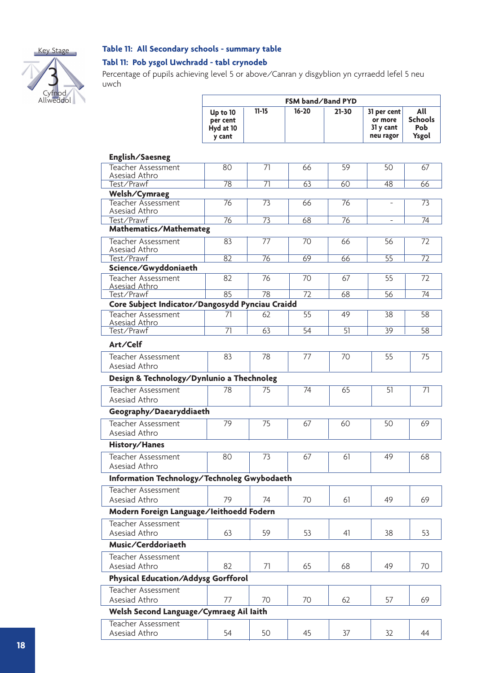

#### **Table 11: All Secondary schools - summary table**

#### **Tabl 11: Pob ysgol Uwchradd - tabl crynodeb**

Percentage of pupils achieving level 5 or above/Canran y disgyblion yn cyrraedd lefel 5 neu uwch

|                                                 | FSM band/Band PYD                           |                 |           |                 |                                                  |                                              |
|-------------------------------------------------|---------------------------------------------|-----------------|-----------|-----------------|--------------------------------------------------|----------------------------------------------|
|                                                 | Up to 10<br>per cent<br>Hyd at 10<br>y cant | $11 - 15$       | $16 - 20$ | $21 - 30$       | 31 per cent<br>or more<br>31 y cant<br>neu ragor | All<br><b>Schools</b><br><b>Pob</b><br>Ysgol |
| English/Saesneg                                 |                                             |                 |           |                 |                                                  |                                              |
| <b>Teacher Assessment</b><br>Asesiad Athro      | 80                                          | $\overline{71}$ | 66        | 59              | 50                                               | 67                                           |
| Test/Prawf                                      | 78                                          | $\overline{71}$ | 63        | 60              | 48                                               | 66                                           |
| Welsh/Cymraeg                                   |                                             |                 |           |                 |                                                  |                                              |
| Teacher Assessment<br>Asesiad Athro             | 76                                          | 73              | 66        | 76              |                                                  | $\overline{73}$                              |
| Test/Prawf                                      | $\overline{76}$                             | $\overline{73}$ | 68        | $\overline{76}$ |                                                  | $\overline{74}$                              |
| Mathematics/Mathemateg                          |                                             |                 |           |                 |                                                  |                                              |
| Teacher Assessment<br>Asesiad Athro             | 83                                          | 77              | 70        | 66              | 56                                               | 72                                           |
| Test/Prawf                                      | 82                                          | 76              | 69        | 66              | $\overline{55}$                                  | $\overline{72}$                              |
| Science/Gwyddoniaeth                            |                                             |                 |           |                 |                                                  |                                              |
| Teacher Assessment<br>Asesiad Athro             | 82                                          | 76              | 70        | 67              | 55                                               | 72                                           |
| Test/Prawf                                      | 85                                          | 78              | 72        | 68              | 56                                               | 74                                           |
| Core Subject Indicator/Dangosydd Pynciau Craidd |                                             |                 |           |                 |                                                  |                                              |
| <b>Teacher Assessment</b><br>Asesiad Athro      | 71                                          | 62              | 55        | 49              | 38                                               | 58                                           |
| Test/Prawf                                      | $\overline{71}$                             | 63              | 54        | 51              | 39                                               | 58                                           |
| Art/Celf                                        |                                             |                 |           |                 |                                                  |                                              |
| Teacher Assessment<br>Asesiad Athro             | 83                                          | 78              | 77        | 70              | 55                                               | 75                                           |
| Design & Technology/Dynlunio a Thechnoleg       |                                             |                 |           |                 |                                                  |                                              |
| Teacher Assessment                              | 78                                          | 75              | 74        | 65              | 51                                               | 71                                           |
| Asesiad Athro                                   |                                             |                 |           |                 |                                                  |                                              |
| Geography/Daearyddiaeth                         |                                             |                 |           |                 |                                                  |                                              |
| Teacher Assessment<br>Asesiad Athro             | 79                                          | 75              | 67        | 60              | 50                                               | 69                                           |
| History/Hanes                                   |                                             |                 |           |                 |                                                  |                                              |
| Teacher Assessment                              | 80                                          | 73              | 67        | 61              | 49                                               | 68                                           |
| Asesiad Athro                                   |                                             |                 |           |                 |                                                  |                                              |
| Information Technology/Technoleg Gwybodaeth     |                                             |                 |           |                 |                                                  |                                              |
| Teacher Assessment<br>Asesiad Athro             | 79                                          | 74              | 70        | 61              | 49                                               | 69                                           |
| Modern Foreign Language/leithoedd Fodern        |                                             |                 |           |                 |                                                  |                                              |
| <b>Teacher Assessment</b>                       |                                             |                 |           |                 |                                                  |                                              |
| Asesiad Athro                                   | 63                                          | 59              | 53        | 41              | 38                                               | 53                                           |
| Music/Cerddoriaeth                              |                                             |                 |           |                 |                                                  |                                              |
| Teacher Assessment                              |                                             |                 |           |                 |                                                  |                                              |
| Asesiad Athro                                   | 82                                          | 71              | 65        | 68              | 49                                               | 70                                           |
| Physical Education/Addysg Gorfforol             |                                             |                 |           |                 |                                                  |                                              |
| Teacher Assessment<br>Asesiad Athro             | 77                                          | 70              | 70        | 62              | 57                                               | 69                                           |
| Welsh Second Language/Cymraeg Ail laith         |                                             |                 |           |                 |                                                  |                                              |
| Teacher Assessment                              |                                             |                 |           |                 |                                                  |                                              |
| Asesiad Athro                                   | 54                                          | 50              | 45        | 37              | 32                                               | 44                                           |
|                                                 |                                             |                 |           |                 |                                                  |                                              |

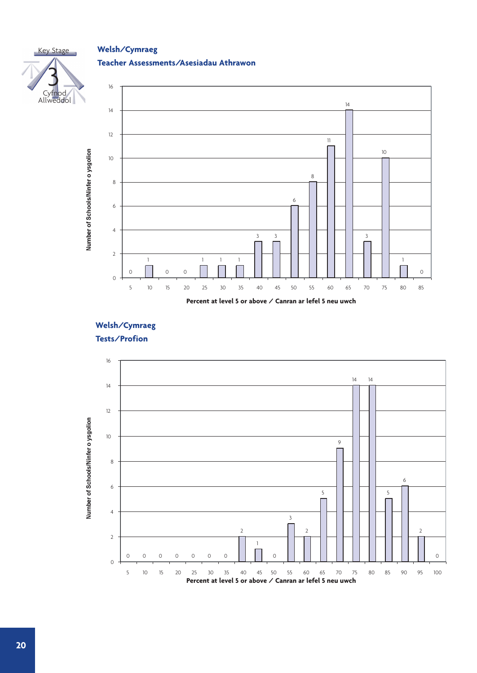#### **Welsh/Cymraeg**

#### **Teacher Assessments/Asesiadau Athrawon**





### **Welsh/Cymraeg**



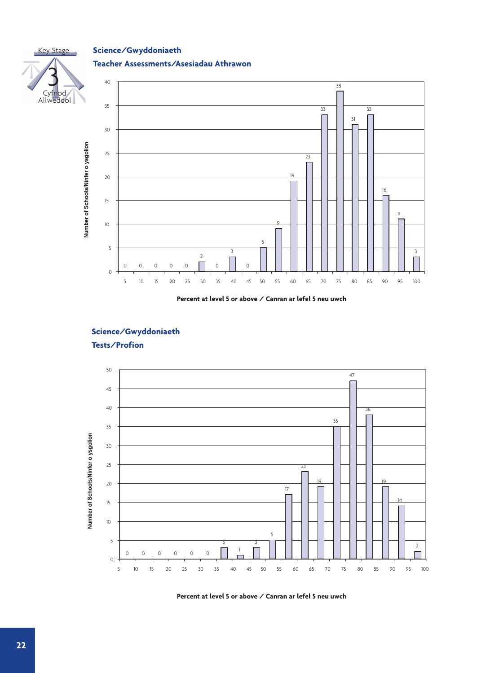

### **Science/Gwyddoniaeth**

#### **Teacher Assessments/Asesiadau Athrawon**



#### **Percent at level 5 or above / Canran ar lefel 5 neu uwch**

#### **Science/Gwyddoniaeth**



**Tests/Profion**

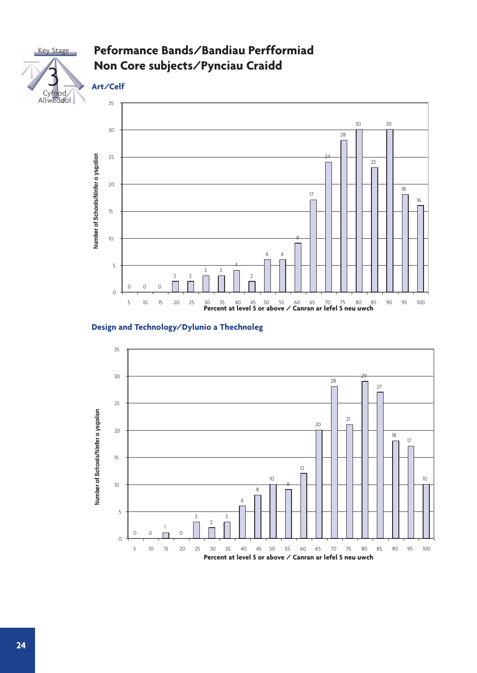



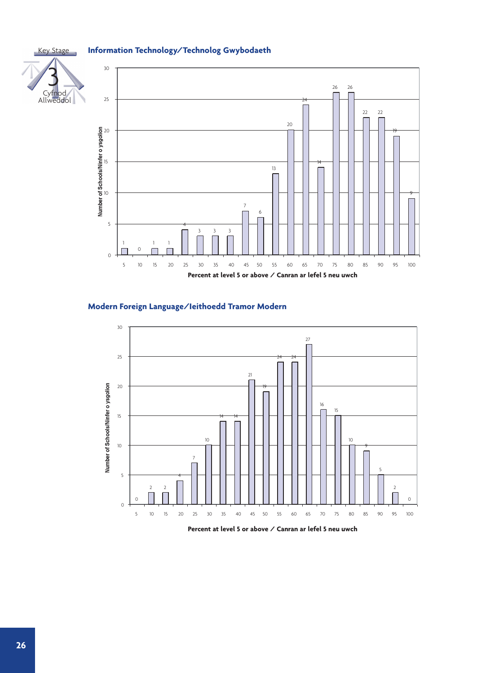#### **Information Technology/Technolog Gwybodaeth**

Key Stage



#### **Modern Foreign Language/Ieithoedd Tramor Modern**



**Percent at level 5 or above / Canran ar lefel 5 neu uwch**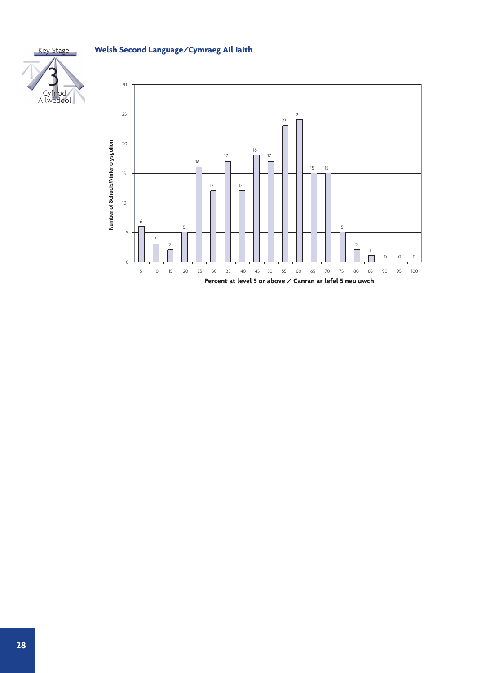**Welsh Second Language/Cymraeg Ail Iaith**